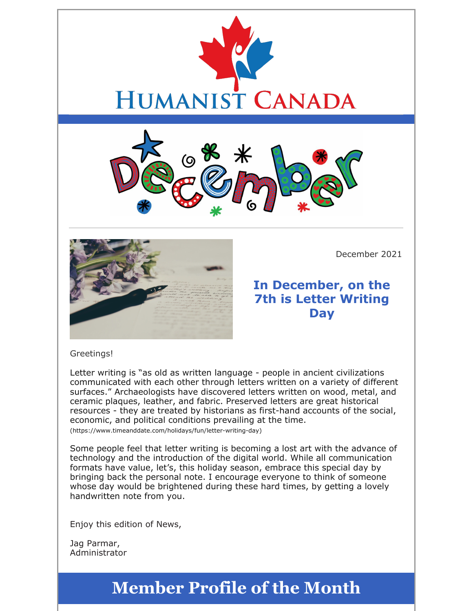





December 2021

## **In December, on the 7th is Letter Writing Day**

#### Greetings!

Letter writing is "as old as written language - people in ancient civilizations communicated with each other through letters written on a variety of different surfaces." Archaeologists have discovered letters written on wood, metal, and ceramic plaques, leather, and fabric. Preserved letters are great historical resources - they are treated by historians as first-hand accounts of the social, economic, and political conditions prevailing at the time.

(https://www.timeanddate.com/holidays/fun/letter-writing-day)

Some people feel that letter writing is becoming a lost art with the advance of technology and the introduction of the digital world. While all communication formats have value, let's, this holiday season, embrace this special day by bringing back the personal note. I encourage everyone to think of someone whose day would be brightened during these hard times, by getting a lovely handwritten note from you.

Enjoy this edition of News,

Jag Parmar, Administrator

## **Member Profile of the Month**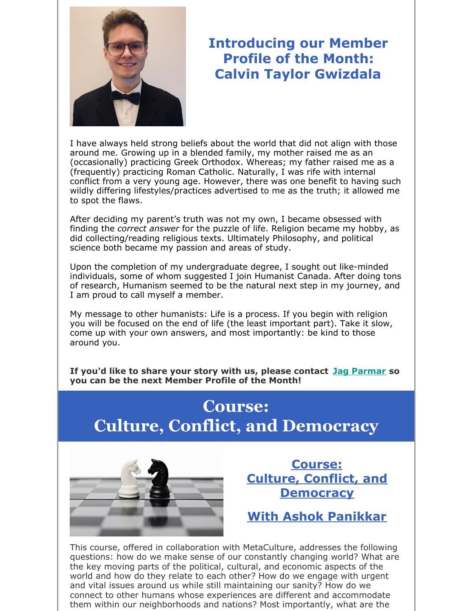

## **Introducing our Member Profile of the Month: Calvin Taylor Gwizdala**

I have always held strong beliefs about the world that did not align with those around me. Growing up in a blended family, my mother raised me as an (occasionally) practicing Greek Orthodox. Whereas; my father raised me as a (frequently) practicing Roman Catholic. Naturally, I was rife with internal conflict from a very young age. However, there was one benefit to having such wildly differing lifestyles/practices advertised to me as the truth; it allowed me to spot the flaws.

After deciding my parent's truth was not my own, I became obsessed with finding the *correct answer* for the puzzle of life. Religion became my hobby, as did collecting/reading religious texts. Ultimately Philosophy, and political science both became my passion and areas of study.

Upon the completion of my undergraduate degree, I sought out like-minded individuals, some of whom suggested I join Humanist Canada. After doing tons of research, Humanism seemed to be the natural next step in my journey, and I am proud to call myself a member.

My message to other humanists: Life is a process. If you begin with religion you will be focused on the end of life (the least important part). Take it slow, come up with your own answers, and most importantly: be kind to those around you.

**If you'd like to share your story with us, please contact Jag Parmar so you can be the next Member Profile of the Month!**

## **Course: Culture, Conflict, and Democracy**



**Course: Culture, Conflict, and Democracy**

**With Ashok Panikkar**

This course, offered in collaboration with MetaCulture, addresses the following questions: how do we make sense of our constantly changing world? What are the key moving parts of the political, cultural, and economic aspects of the world and how do they relate to each other? How do we engage with urgent and vital issues around us while still maintaining our sanity? How do we connect to other humans whose experiences are different and accommodate them within our neighborhoods and nations? Most importantly, what are the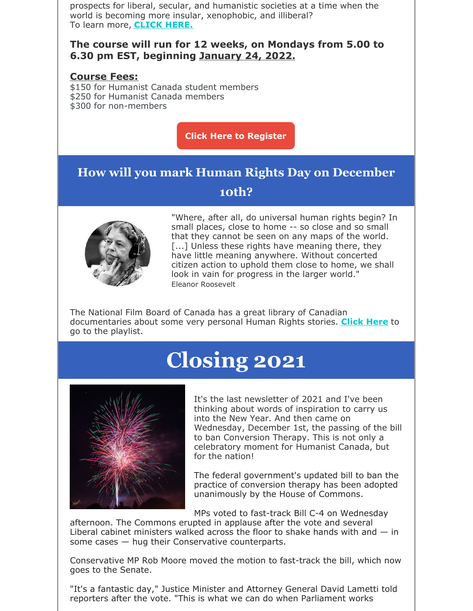prospects for liberal, secular, and humanistic societies at a time when the world is becoming more insular, xenophobic, and illiberal? To learn more, **CLICK HERE.**

#### **The course will run for 12 weeks, on Mondays from 5.00 to 6.30 pm EST, beginning January 24, 2022.**

#### **Course Fees:**

\$150 for Humanist Canada student members \$250 for Humanist Canada members \$300 for non-members

**Click Here to Register**

## **How will you mark Human Rights Day on December 10th?**



"Where, after all, do universal human rights begin? In small places, close to home -- so close and so small that they cannot be seen on any maps of the world. [...] Unless these rights have meaning there, they have little meaning anywhere. Without concerted citizen action to uphold them close to home, we shall look in vain for progress in the larger world." Eleanor Roosevelt

The National Film Board of Canada has a great library of Canadian documentaries about some very personal Human Rights stories. **Click Here** to go to the playlist.

# **Closing 2021**



It's the last newsletter of 2021 and I've been thinking about words of inspiration to carry us into the New Year. And then came on Wednesday, December 1st, the passing of the bill to ban Conversion Therapy. This is not only a celebratory moment for Humanist Canada, but for the nation!

The federal government's updated bill to ban the practice of conversion therapy has been adopted unanimously by the House of Commons.

MPs voted to fast-track Bill C-4 on Wednesday

afternoon. The Commons erupted in applause after the vote and several Liberal cabinet ministers walked across the floor to shake hands with and  $-$  in some cases — hug their Conservative counterparts.

Conservative MP Rob Moore moved the motion to fast-track the bill, which now goes to the Senate.

"It's a fantastic day," Justice Minister and Attorney General David Lametti told reporters after the vote. "This is what we can do when Parliament works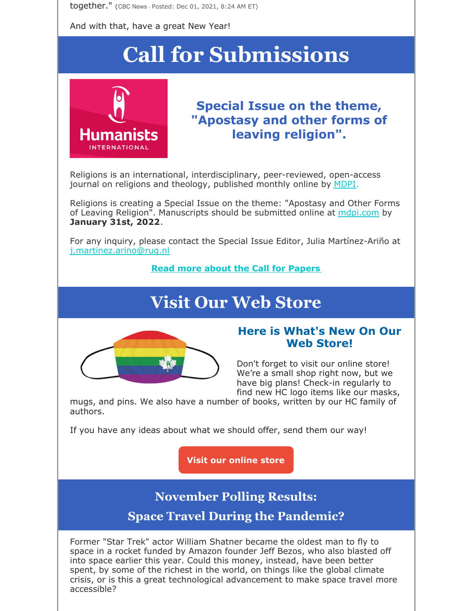together." (CBC News · Posted: Dec 01, 2021, 8:24 AM ET)

And with that, have a great New Year!

# **Call for Submissions**



### **Special Issue on the theme, "Apostasy and other forms of leaving religion".**

Religions is an international, interdisciplinary, peer-reviewed, open-access journal on religions and theology, published monthly online by MDPI.

Religions is creating a Special Issue on the theme: "Apostasy and Other Forms of Leaving Religion". Manuscripts should be submitted online at mopi.com by **January 31st, 2022**.

For any inquiry, please contact the Special Issue Editor, Julia Martínez-Ariño at j.martinez.arino@rug.nl

#### **Read more about the Call for Papers**

## **Visit Our Web Store**



#### **Here is What's New On Our Web Store!**

Don't forget to visit our online store! We're a small shop right now, but we have big plans! Check-in regularly to find new HC logo items like our masks,

mugs, and pins. We also have a number of books, written by our HC family of authors.

If you have any ideas about what we should offer, send them our way!

**Visit our online store**

### **November Polling Results:**

**Space Travel During the Pandemic?**

Former "Star Trek" actor William Shatner became the oldest man to fly to space in a rocket funded by Amazon founder Jeff Bezos, who also blasted off into space earlier this year. Could this money, instead, have been better spent, by some of the richest in the world, on things like the global climate crisis, or is this a great technological advancement to make space travel more accessible?